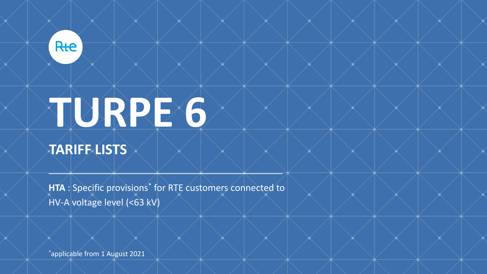

# **TURPE 6**

# **TARIFF LISTS**

**HTA** : Specific provisions\* for RTE customers connected to HV-A voltage level (<63 kV)

\*applicable from 1 August 2021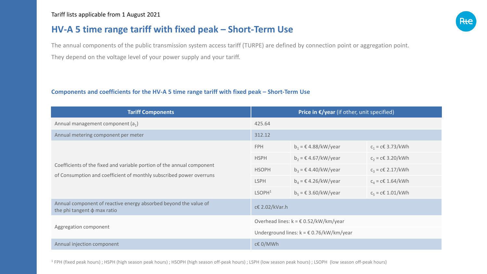# **HV-A 5 time range tariff with fixed peak – Short-Term Use**

The annual components of the public transmission system access tariff (TURPE) are defined by connection point or aggregation point. They depend on the voltage level of your power supply and your tariff.

#### **Components and coefficients for the HV-A 5 time range tariff with fixed peak – Short-Term Use**

| <b>Tariff Components</b>                                                                                                                      | Price in $\epsilon$ /year (if other, unit specified)          |                                 |                        |
|-----------------------------------------------------------------------------------------------------------------------------------------------|---------------------------------------------------------------|---------------------------------|------------------------|
| Annual management component $(a_1)$                                                                                                           | 425.64                                                        |                                 |                        |
| Annual metering component per meter                                                                                                           | 312.12                                                        |                                 |                        |
| Coefficients of the fixed and variable portion of the annual component<br>of Consumption and coefficient of monthly subscribed power overruns | <b>FPH</b>                                                    | $b_1$ = $\in$ 4.88/kW/year      | $c_1$ = c€ 3.73/kWh    |
|                                                                                                                                               | <b>HSPH</b>                                                   | $b_2 = \epsilon$ 4.67/kW/year   | $c_2$ = c€ 3.20/kWh    |
|                                                                                                                                               | <b>HSOPH</b>                                                  | $b_3$ = $\epsilon$ 4.40/kW/year | $c_3$ = c€ 2.17/kWh    |
|                                                                                                                                               | <b>LSPH</b>                                                   | $b_4$ = $\epsilon$ 4.26/kW/year | $c_4$ = c€ 1.64/kWh    |
|                                                                                                                                               | LSOPH <sup>1</sup>                                            | $b_5$ = $\epsilon$ 3.60/kW/year | $c_5 = c \in 1.01/kWh$ |
| Annual component of reactive energy absorbed beyond the value of<br>the phi tangent $\phi$ max ratio                                          | c€ 2.02/kVar.h                                                |                                 |                        |
| Aggregation component                                                                                                                         | Overhead lines: $k = \text{\textsterling} 0.52/kW/km/year$    |                                 |                        |
|                                                                                                                                               | Underground lines: $k = \text{\textsterling} 0.76/kW/km/year$ |                                 |                        |
| Annual injection component                                                                                                                    | c€ 0/MWh                                                      |                                 |                        |

 $1$  FPH (fixed peak hours) ; HSPH (high season peak hours) ; HSOPH (high season off-peak hours) ; LSPH (low season peak hours) ; LSOPH (low season off-peak hours)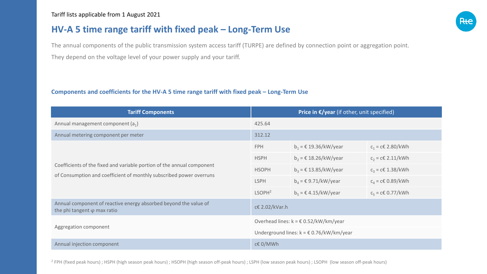## **HV-A 5 time range tariff with fixed peak – Long-Term Use**

The annual components of the public transmission system access tariff (TURPE) are defined by connection point or aggregation point. They depend on the voltage level of your power supply and your tariff.

#### **Components and coefficients for the HV-A 5 time range tariff with fixed peak – Long-Term Use**

| <b>Tariff Components</b>                                                                                                                      | Price in $\epsilon$ /year (if other, unit specified)          |                                            |                          |
|-----------------------------------------------------------------------------------------------------------------------------------------------|---------------------------------------------------------------|--------------------------------------------|--------------------------|
| Annual management component $(a_1)$                                                                                                           | 425.64                                                        |                                            |                          |
| Annual metering component per meter                                                                                                           | 312.12                                                        |                                            |                          |
| Coefficients of the fixed and variable portion of the annual component<br>of Consumption and coefficient of monthly subscribed power overruns | <b>FPH</b>                                                    | $b_1 = \text{\textsterling} 19.36/kW/year$ | $c_1$ = c€ 2.80/kWh      |
|                                                                                                                                               | <b>HSPH</b>                                                   | $b_2$ = € 18.26/kW/year                    | $c_2$ = c€ 2.11/kWh      |
|                                                                                                                                               | <b>HSOPH</b>                                                  | $b_3 = \text{\textsterling} 13.85/kW/year$ | $c_3 = c \in 1.38 / kWh$ |
|                                                                                                                                               | <b>LSPH</b>                                                   | $b_4$ = $\epsilon$ 9.71/kW/year            | $c_4$ = c€ 0.89/kWh      |
|                                                                                                                                               | LSOPH <sup>2</sup>                                            | $b_5$ = $\epsilon$ 4.15/kW/year            | $c_5 = c \in 0.77 / kWh$ |
| Annual component of reactive energy absorbed beyond the value of<br>the phi tangent $\varphi$ max ratio                                       | c€ 2.02/kVar.h                                                |                                            |                          |
| Aggregation component                                                                                                                         | Overhead lines: $k = \text{\textsterling} 0.52/kW/km/year$    |                                            |                          |
|                                                                                                                                               | Underground lines: $k = \text{\textsterling} 0.76/kW/km/year$ |                                            |                          |
| Annual injection component                                                                                                                    | c€ 0/MWh                                                      |                                            |                          |

<sup>2</sup> FPH (fixed peak hours) ; HSPH (high season peak hours) ; HSOPH (high season off-peak hours) ; LSPH (low season peak hours) ; LSOPH (low season off-peak hours)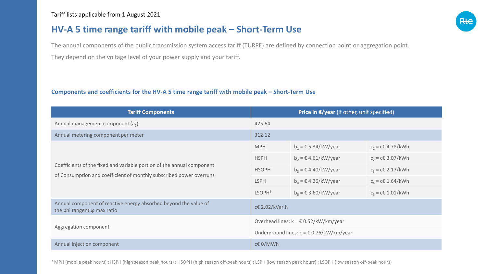# **HV-A 5 time range tariff with mobile peak – Short-Term Use**

The annual components of the public transmission system access tariff (TURPE) are defined by connection point or aggregation point. They depend on the voltage level of your power supply and your tariff.

#### **Components and coefficients for the HV-A 5 time range tariff with mobile peak – Short-Term Use**

| <b>Tariff Components</b>                                                                                                                      | Price in $\epsilon$ /year (if other, unit specified)          |                                 |                        |
|-----------------------------------------------------------------------------------------------------------------------------------------------|---------------------------------------------------------------|---------------------------------|------------------------|
| Annual management component $(a_1)$                                                                                                           | 425.64                                                        |                                 |                        |
| Annual metering component per meter                                                                                                           | 312.12                                                        |                                 |                        |
| Coefficients of the fixed and variable portion of the annual component<br>of Consumption and coefficient of monthly subscribed power overruns | <b>MPH</b>                                                    | $b_1$ = € 5.34/kW/year          | $c_1$ = c€ 4.78/kWh    |
|                                                                                                                                               | <b>HSPH</b>                                                   | $b_2$ = $\in$ 4.61/kW/year      | $c_2$ = c€ 3.07/kWh    |
|                                                                                                                                               | <b>HSOPH</b>                                                  | $b_3$ = $\epsilon$ 4.40/kW/year | $c_3$ = c€ 2.17/kWh    |
|                                                                                                                                               | <b>LSPH</b>                                                   | $b_4$ = $\epsilon$ 4.26/kW/year | $c_4$ = c€ 1.64/kWh    |
|                                                                                                                                               | LSOPH <sup>3</sup>                                            | $b_5$ = $\epsilon$ 3.60/kW/year | $c_5 = c \in 1.01/kWh$ |
| Annual component of reactive energy absorbed beyond the value of<br>the phi tangent $\varphi$ max ratio                                       | c€ 2.02/kVar.h                                                |                                 |                        |
| Aggregation component                                                                                                                         | Overhead lines: $k = \text{\textsterling} 0.52/kW/km/year$    |                                 |                        |
|                                                                                                                                               | Underground lines: $k = \text{\textsterling} 0.76/kW/km/year$ |                                 |                        |
| Annual injection component                                                                                                                    | c€ 0/MWh                                                      |                                 |                        |

<sup>3</sup> MPH (mobile peak hours) ; HSPH (high season peak hours) ; HSOPH (high season off-peak hours) ; LSPH (low season peak hours) ; LSOPH (low season off-peak hours)